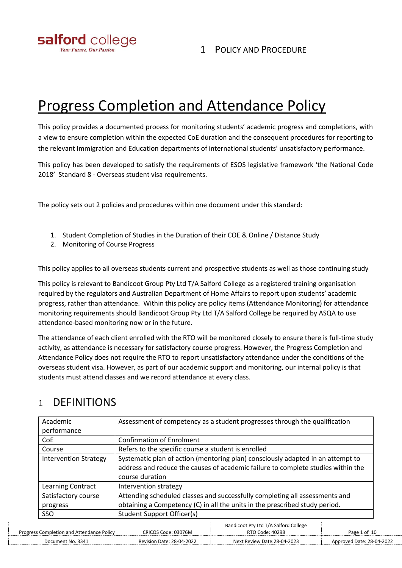

# Progress Completion and Attendance Policy

This policy provides a documented process for monitoring students' academic progress and completions, with a view to ensure completion within the expected CoE duration and the consequent procedures for reporting to the relevant Immigration and Education departments of international students' unsatisfactory performance.

This policy has been developed to satisfy the requirements of ESOS legislative framework 'the National Code 2018' Standard 8 - Overseas student visa requirements.

The policy sets out 2 policies and procedures within one document under this standard:

- 1. Student Completion of Studies in the Duration of their COE & Online / Distance Study
- 2. Monitoring of Course Progress

This policy applies to all overseas students current and prospective students as well as those continuing study

This policy is relevant to Bandicoot Group Pty Ltd T/A Salford College as a registered training organisation required by the regulators and Australian Department of Home Affairs to report upon students' academic progress, rather than attendance. Within this policy are policy items (Attendance Monitoring) for attendance monitoring requirements should Bandicoot Group Pty Ltd T/A Salford College be required by ASQA to use attendance-based monitoring now or in the future.

The attendance of each client enrolled with the RTO will be monitored closely to ensure there is full-time study activity, as attendance is necessary for satisfactory course progress. However, the Progress Completion and Attendance Policy does not require the RTO to report unsatisfactory attendance under the conditions of the overseas student visa. However, as part of our academic support and monitoring, our internal policy is that students must attend classes and we record attendance at every class.

| Academic                                         | Assessment of competency as a student progresses through the qualification                                                                                                             |                                                                                                                                                            |                           |  |
|--------------------------------------------------|----------------------------------------------------------------------------------------------------------------------------------------------------------------------------------------|------------------------------------------------------------------------------------------------------------------------------------------------------------|---------------------------|--|
| performance                                      |                                                                                                                                                                                        |                                                                                                                                                            |                           |  |
| <b>CoE</b>                                       | <b>Confirmation of Enrolment</b>                                                                                                                                                       |                                                                                                                                                            |                           |  |
| Course                                           |                                                                                                                                                                                        | Refers to the specific course a student is enrolled                                                                                                        |                           |  |
| <b>Intervention Strategy</b>                     | Systematic plan of action (mentoring plan) consciously adapted in an attempt to<br>address and reduce the causes of academic failure to complete studies within the<br>course duration |                                                                                                                                                            |                           |  |
| Learning Contract                                | Intervention strategy                                                                                                                                                                  |                                                                                                                                                            |                           |  |
| Satisfactory course<br>progress                  |                                                                                                                                                                                        | Attending scheduled classes and successfully completing all assessments and<br>obtaining a Competency (C) in all the units in the prescribed study period. |                           |  |
| <b>SSO</b>                                       | Student Support Officer(s)                                                                                                                                                             |                                                                                                                                                            |                           |  |
| <b>Progress Completion and Attendance Policy</b> | CRICOS Code: 03076M                                                                                                                                                                    | Bandicoot Pty Ltd T/A Salford College<br>RTO Code: 40298                                                                                                   | Page 1 of 10              |  |
| Document No. 3341                                | <b>Revision Date: 28-04-2022</b>                                                                                                                                                       | Next Review Date: 28-04-2023                                                                                                                               | Approved Date: 28-04-2022 |  |

# 1 DEFINITIONS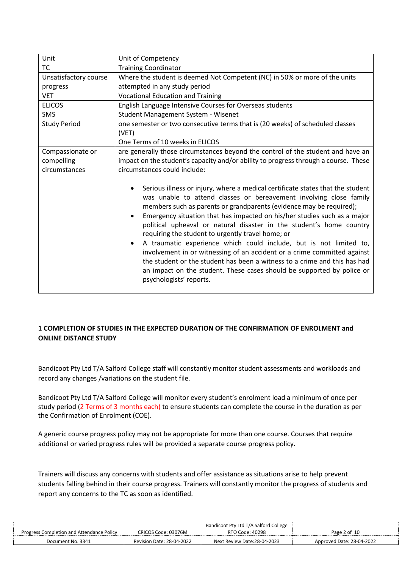| Unit                  | Unit of Competency                                                                                                                                                                                                                                                                                                                                                                                                                                                                                                                                                                                                                                                                                                                                                       |  |  |
|-----------------------|--------------------------------------------------------------------------------------------------------------------------------------------------------------------------------------------------------------------------------------------------------------------------------------------------------------------------------------------------------------------------------------------------------------------------------------------------------------------------------------------------------------------------------------------------------------------------------------------------------------------------------------------------------------------------------------------------------------------------------------------------------------------------|--|--|
| <b>TC</b>             | <b>Training Coordinator</b>                                                                                                                                                                                                                                                                                                                                                                                                                                                                                                                                                                                                                                                                                                                                              |  |  |
| Unsatisfactory course | Where the student is deemed Not Competent (NC) in 50% or more of the units                                                                                                                                                                                                                                                                                                                                                                                                                                                                                                                                                                                                                                                                                               |  |  |
| progress              | attempted in any study period                                                                                                                                                                                                                                                                                                                                                                                                                                                                                                                                                                                                                                                                                                                                            |  |  |
| <b>VET</b>            | <b>Vocational Education and Training</b>                                                                                                                                                                                                                                                                                                                                                                                                                                                                                                                                                                                                                                                                                                                                 |  |  |
| <b>ELICOS</b>         | English Language Intensive Courses for Overseas students                                                                                                                                                                                                                                                                                                                                                                                                                                                                                                                                                                                                                                                                                                                 |  |  |
| SMS                   | Student Management System - Wisenet                                                                                                                                                                                                                                                                                                                                                                                                                                                                                                                                                                                                                                                                                                                                      |  |  |
| <b>Study Period</b>   | one semester or two consecutive terms that is (20 weeks) of scheduled classes                                                                                                                                                                                                                                                                                                                                                                                                                                                                                                                                                                                                                                                                                            |  |  |
|                       | (VET)                                                                                                                                                                                                                                                                                                                                                                                                                                                                                                                                                                                                                                                                                                                                                                    |  |  |
|                       | One Terms of 10 weeks in ELICOS                                                                                                                                                                                                                                                                                                                                                                                                                                                                                                                                                                                                                                                                                                                                          |  |  |
| Compassionate or      | are generally those circumstances beyond the control of the student and have an                                                                                                                                                                                                                                                                                                                                                                                                                                                                                                                                                                                                                                                                                          |  |  |
| compelling            | impact on the student's capacity and/or ability to progress through a course. These                                                                                                                                                                                                                                                                                                                                                                                                                                                                                                                                                                                                                                                                                      |  |  |
| circumstances         | circumstances could include:                                                                                                                                                                                                                                                                                                                                                                                                                                                                                                                                                                                                                                                                                                                                             |  |  |
|                       | Serious illness or injury, where a medical certificate states that the student<br>was unable to attend classes or bereavement involving close family<br>members such as parents or grandparents (evidence may be required);<br>Emergency situation that has impacted on his/her studies such as a major<br>political upheaval or natural disaster in the student's home country<br>requiring the student to urgently travel home; or<br>A traumatic experience which could include, but is not limited to,<br>involvement in or witnessing of an accident or a crime committed against<br>the student or the student has been a witness to a crime and this has had<br>an impact on the student. These cases should be supported by police or<br>psychologists' reports. |  |  |

# **1 COMPLETION OF STUDIES IN THE EXPECTED DURATION OF THE CONFIRMATION OF ENROLMENT and ONLINE DISTANCE STUDY**

Bandicoot Pty Ltd T/A Salford College staff will constantly monitor student assessments and workloads and record any changes /variations on the student file.

Bandicoot Pty Ltd T/A Salford College will monitor every student's enrolment load a minimum of once per study period (2 Terms of 3 months each) to ensure students can complete the course in the duration as per the Confirmation of Enrolment (COE).

A generic course progress policy may not be appropriate for more than one course. Courses that require additional or varied progress rules will be provided a separate course progress policy.

Trainers will discuss any concerns with students and offer assistance as situations arise to help prevent students falling behind in their course progress. Trainers will constantly monitor the progress of students and report any concerns to the TC as soon as identified.

|                                           |                           | Bandicoot Pty Ltd T/A Salford College |                           |
|-------------------------------------------|---------------------------|---------------------------------------|---------------------------|
| Progress Completion and Attendance Policy | CRICOS Code: 03076M       | RTO Code: 40298                       | Page 2 of 10              |
| Document No. 3341                         | Revision Date: 28-04-2022 | Next Review Date:28-04-2023           | Approved Date: 28-04-2022 |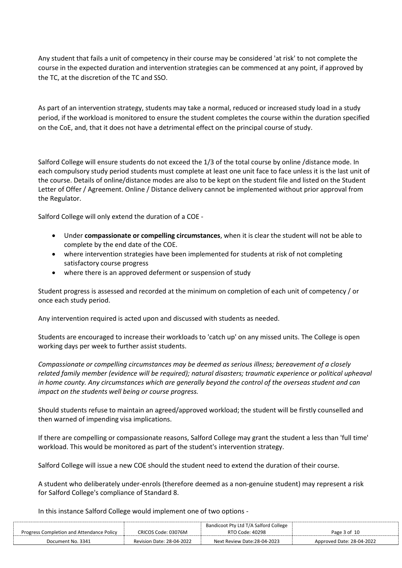Any student that fails a unit of competency in their course may be considered 'at risk' to not complete the course in the expected duration and intervention strategies can be commenced at any point, if approved by the TC, at the discretion of the TC and SSO.

As part of an intervention strategy, students may take a normal, reduced or increased study load in a study period, if the workload is monitored to ensure the student completes the course within the duration specified on the CoE, and, that it does not have a detrimental effect on the principal course of study.

Salford College will ensure students do not exceed the 1/3 of the total course by online /distance mode. In each compulsory study period students must complete at least one unit face to face unless it is the last unit of the course. Details of online/distance modes are also to be kept on the student file and listed on the Student Letter of Offer / Agreement. Online / Distance delivery cannot be implemented without prior approval from the Regulator.

Salford College will only extend the duration of a COE -

- Under **compassionate or compelling circumstances**, when it is clear the student will not be able to complete by the end date of the COE.
- where intervention strategies have been implemented for students at risk of not completing satisfactory course progress
- where there is an approved deferment or suspension of study

Student progress is assessed and recorded at the minimum on completion of each unit of competency / or once each study period.

Any intervention required is acted upon and discussed with students as needed.

Students are encouraged to increase their workloads to 'catch up' on any missed units. The College is open working days per week to further assist students.

*Compassionate or compelling circumstances may be deemed as serious illness; bereavement of a closely related family member (evidence will be required); natural disasters; traumatic experience or political upheaval in home county. Any circumstances which are generally beyond the control of the overseas student and can impact on the students well being or course progress.*

Should students refuse to maintain an agreed/approved workload; the student will be firstly counselled and then warned of impending visa implications.

If there are compelling or compassionate reasons, Salford College may grant the student a less than 'full time' workload. This would be monitored as part of the student's intervention strategy.

Salford College will issue a new COE should the student need to extend the duration of their course.

A student who deliberately under-enrols (therefore deemed as a non-genuine student) may represent a risk for Salford College's compliance of Standard 8.

In this instance Salford College would implement one of two options -

|                                           |                                  | Bandicoot Pty Ltd T/A Salford College |                           |
|-------------------------------------------|----------------------------------|---------------------------------------|---------------------------|
| Progress Completion and Attendance Policy | CRICOS Code: 03076M              | RTO Code: 40298                       | Page 3 of 10              |
| Document No. 3341                         | <b>Revision Date: 28-04-2022</b> | Next Review Date:28-04-2023           | Approved Date: 28-04-2022 |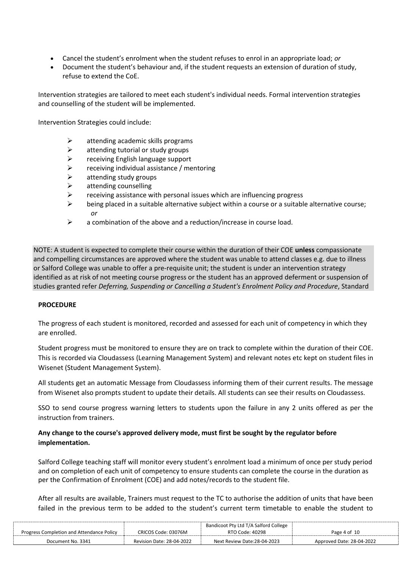- Cancel the student's enrolment when the student refuses to enrol in an appropriate load; *or*
- Document the student's behaviour and, if the student requests an extension of duration of study, refuse to extend the CoE.

Intervention strategies are tailored to meet each student's individual needs. Formal intervention strategies and counselling of the student will be implemented.

Intervention Strategies could include:

- $\triangleright$  attending academic skills programs
- $\triangleright$  attending tutorial or study groups
- ➢ receiving English language support
- ➢ receiving individual assistance / mentoring
- $\triangleright$  attending study groups
- $\triangleright$  attending counselling
- $\triangleright$  receiving assistance with personal issues which are influencing progress
- $\triangleright$  being placed in a suitable alternative subject within a course or a suitable alternative course; *or*
- $\triangleright$  a combination of the above and a reduction/increase in course load.

NOTE: A student is expected to complete their course within the duration of their COE **unless** compassionate and compelling circumstances are approved where the student was unable to attend classes e.g. due to illness or Salford College was unable to offer a pre-requisite unit; the student is under an intervention strategy identified as at risk of not meeting course progress or the student has an approved deferment or suspension of studies granted refer *Deferring, Suspending or Cancelling a Student's Enrolment Policy and Procedure*, Standard

### **PROCEDURE**

The progress of each student is monitored, recorded and assessed for each unit of competency in which they are enrolled.

Student progress must be monitored to ensure they are on track to complete within the duration of their COE. This is recorded via Cloudassess (Learning Management System) and relevant notes etc kept on student files in Wisenet (Student Management System).

All students get an automatic Message from Cloudassess informing them of their current results. The message from Wisenet also prompts student to update their details. All students can see their results on Cloudassess.

SSO to send course progress warning letters to students upon the failure in any 2 units offered as per the instruction from trainers.

# **Any change to the course's approved delivery mode, must first be sought by the regulator before implementation.**

Salford College teaching staff will monitor every student's enrolment load a minimum of once per study period and on completion of each unit of competency to ensure students can complete the course in the duration as per the Confirmation of Enrolment (COE) and add notes/records to the student file.

After all results are available, Trainers must request to the TC to authorise the addition of units that have been failed in the previous term to be added to the student's current term timetable to enable the student to

|                                           |                           | Bandicoot Pty Ltd T/A Salford College |                           |
|-------------------------------------------|---------------------------|---------------------------------------|---------------------------|
| Progress Completion and Attendance Policy | CRICOS Code: 03076M       | RTO Code: 40298                       | Page 4 of 10              |
| Document No. 3341                         | Revision Date: 28-04-2022 | Next Review Date:28-04-2023           | Approved Date: 28-04-2022 |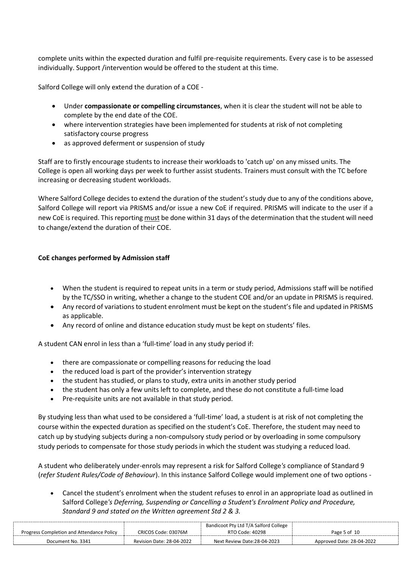complete units within the expected duration and fulfil pre-requisite requirements. Every case is to be assessed individually. Support /intervention would be offered to the student at this time.

Salford College will only extend the duration of a COE -

- Under **compassionate or compelling circumstances**, when it is clear the student will not be able to complete by the end date of the COE.
- where intervention strategies have been implemented for students at risk of not completing satisfactory course progress
- as approved deferment or suspension of study

Staff are to firstly encourage students to increase their workloads to 'catch up' on any missed units. The College is open all working days per week to further assist students. Trainers must consult with the TC before increasing or decreasing student workloads.

Where Salford College decides to extend the duration of the student's study due to any of the conditions above, Salford College will report via PRISMS and/or issue a new CoE if required. PRISMS will indicate to the user if a new CoE is required. This reporting must be done within 31 days of the determination that the student will need to change/extend the duration of their COE.

### **CoE changes performed by Admission staff**

- When the student is required to repeat units in a term or study period, Admissions staff will be notified by the TC/SSO in writing, whether a change to the student COE and/or an update in PRISMS is required.
- Any record of variations to student enrolment must be kept on the student's file and updated in PRISMS as applicable.
- Any record of online and distance education study must be kept on students' files.

A student CAN enrol in less than a 'full-time' load in any study period if:

- there are compassionate or compelling reasons for reducing the load
- the reduced load is part of the provider's intervention strategy
- the student has studied, or plans to study, extra units in another study period
- the student has only a few units left to complete, and these do not constitute a full-time load
- Pre-requisite units are not available in that study period.

By studying less than what used to be considered a 'full-time' load, a student is at risk of not completing the course within the expected duration as specified on the student's CoE. Therefore, the student may need to catch up by studying subjects during a non-compulsory study period or by overloading in some compulsory study periods to compensate for those study periods in which the student was studying a reduced load.

A student who deliberately under-enrols may represent a risk for Salford College*'s* compliance of Standard 9 (*refer Student Rules/Code of Behaviour*). In this instance Salford College would implement one of two options -

• Cancel the student's enrolment when the student refuses to enrol in an appropriate load as outlined in Salford College*'s Deferring, Suspending or Cancelling a Student's Enrolment Policy and Procedure, Standard 9 and stated on the Written agreement Std 2 & 3.*

| <b>Progress Completion and Attendance Policy</b> | CRICOS Code: 03076M       | Bandicoot Pty Ltd T/A Salford College<br>RTO Code: 40298 | Page 5 of 10              |
|--------------------------------------------------|---------------------------|----------------------------------------------------------|---------------------------|
| Document No. 3341                                | Revision Date: 28-04-2022 | Next Review Date:28-04-2023                              | Approved Date: 28-04-2022 |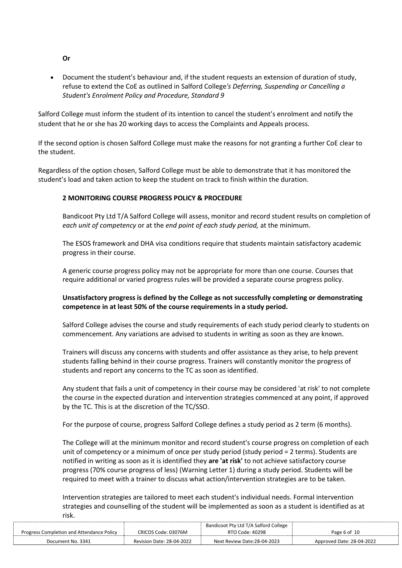• Document the student's behaviour and, if the student requests an extension of duration of study, refuse to extend the CoE as outlined in Salford College*'s Deferring, Suspending or Cancelling a Student's Enrolment Policy and Procedure, Standard 9*

Salford College must inform the student of its intention to cancel the student's enrolment and notify the student that he or she has 20 working days to access the Complaints and Appeals process.

If the second option is chosen Salford College must make the reasons for not granting a further CoE clear to the student.

Regardless of the option chosen, Salford College must be able to demonstrate that it has monitored the student's load and taken action to keep the student on track to finish within the duration.

# **2 MONITORING COURSE PROGRESS POLICY & PROCEDURE**

Bandicoot Pty Ltd T/A Salford College will assess, monitor and record student results on completion of *each unit of competency* or at the *end point of each study period,* at the minimum.

The ESOS framework and DHA visa conditions require that students maintain satisfactory academic progress in their course.

A generic course progress policy may not be appropriate for more than one course. Courses that require additional or varied progress rules will be provided a separate course progress policy.

# **Unsatisfactory progress is defined by the College as not successfully completing or demonstrating competence in at least 50% of the course requirements in a study period.**

Salford College advises the course and study requirements of each study period clearly to students on commencement. Any variations are advised to students in writing as soon as they are known.

Trainers will discuss any concerns with students and offer assistance as they arise, to help prevent students falling behind in their course progress. Trainers will constantly monitor the progress of students and report any concerns to the TC as soon as identified.

Any student that fails a unit of competency in their course may be considered 'at risk' to not complete the course in the expected duration and intervention strategies commenced at any point, if approved by the TC. This is at the discretion of the TC/SSO.

For the purpose of course, progress Salford College defines a study period as 2 term (6 months).

The College will at the minimum monitor and record student's course progress on completion of each unit of competency or a minimum of once per study period (study period = 2 terms). Students are notified in writing as soon as it is identified they **are 'at risk'** to not achieve satisfactory course progress (70% course progress of less) (Warning Letter 1) during a study period. Students will be required to meet with a trainer to discuss what action/intervention strategies are to be taken.

Intervention strategies are tailored to meet each student's individual needs. Formal intervention strategies and counselling of the student will be implemented as soon as a student is identified as at risk.

|                                           |                                  | Bandicoot Pty Ltd T/A Salford College |                           |
|-------------------------------------------|----------------------------------|---------------------------------------|---------------------------|
| Progress Completion and Attendance Policy | CRICOS Code: 03076M              | RTO Code: 40298                       | Page 6 of 10              |
| Document No. 3341                         | <b>Revision Date: 28-04-2022</b> | Next Review Date:28-04-2023           | Approved Date: 28-04-2022 |

**Or**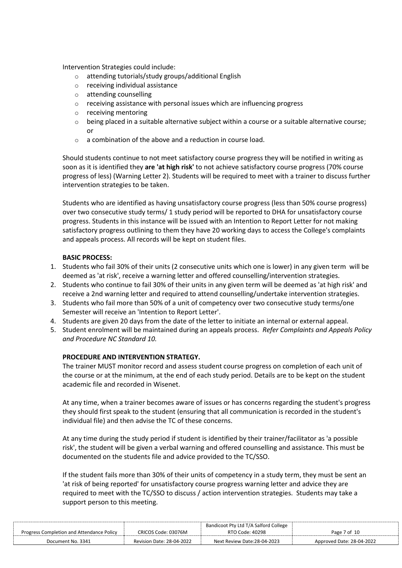Intervention Strategies could include:

- o attending tutorials/study groups/additional English
- o receiving individual assistance
- o attending counselling
- o receiving assistance with personal issues which are influencing progress
- o receiving mentoring
- o being placed in a suitable alternative subject within a course or a suitable alternative course; or
- $\circ$  a combination of the above and a reduction in course load.

Should students continue to not meet satisfactory course progress they will be notified in writing as soon as it is identified they **are 'at high risk'** to not achieve satisfactory course progress (70% course progress of less) (Warning Letter 2). Students will be required to meet with a trainer to discuss further intervention strategies to be taken.

Students who are identified as having unsatisfactory course progress (less than 50% course progress) over two consecutive study terms/ 1 study period will be reported to DHA for unsatisfactory course progress. Students in this instance will be issued with an Intention to Report Letter for not making satisfactory progress outlining to them they have 20 working days to access the College's complaints and appeals process. All records will be kept on student files.

# **BASIC PROCESS:**

- 1. Students who fail 30% of their units (2 consecutive units which one is lower) in any given term will be deemed as 'at risk', receive a warning letter and offered counselling/intervention strategies.
- 2. Students who continue to fail 30% of their units in any given term will be deemed as 'at high risk' and receive a 2nd warning letter and required to attend counselling/undertake intervention strategies.
- 3. Students who fail more than 50% of a unit of competency over two consecutive study terms/one Semester will receive an 'Intention to Report Letter'.
- 4. Students are given 20 days from the date of the letter to initiate an internal or external appeal.
- 5. Student enrolment will be maintained during an appeals process. *Refer Complaints and Appeals Policy and Procedure NC Standard 10.*

### **PROCEDURE AND INTERVENTION STRATEGY.**

The trainer MUST monitor record and assess student course progress on completion of each unit of the course or at the minimum, at the end of each study period. Details are to be kept on the student academic file and recorded in Wisenet.

At any time, when a trainer becomes aware of issues or has concerns regarding the student's progress they should first speak to the student (ensuring that all communication is recorded in the student's individual file) and then advise the TC of these concerns.

At any time during the study period if student is identified by their trainer/facilitator as 'a possible risk', the student will be given a verbal warning and offered counselling and assistance. This must be documented on the students file and advice provided to the TC/SSO.

If the student fails more than 30% of their units of competency in a study term, they must be sent an 'at risk of being reported' for unsatisfactory course progress warning letter and advice they are required to meet with the TC/SSO to discuss / action intervention strategies. Students may take a support person to this meeting.

|                                           |                                  | Bandicoot Pty Ltd T/A Salford College |                           |
|-------------------------------------------|----------------------------------|---------------------------------------|---------------------------|
| Progress Completion and Attendance Policy | CRICOS Code: 03076M              | RTO Code: 40298                       | Page 7 of 10              |
| Document No. 3341                         | <b>Revision Date: 28-04-2022</b> | Next Review Date:28-04-2023           | Approved Date: 28-04-2022 |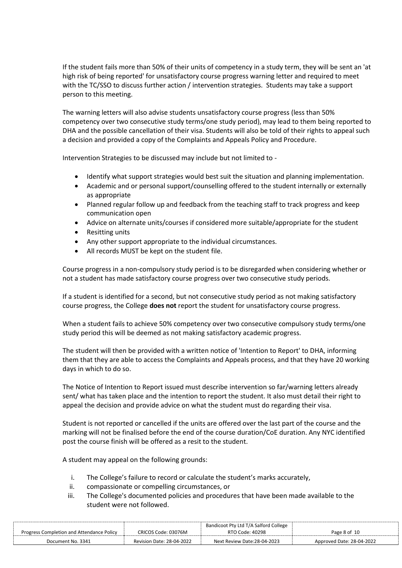If the student fails more than 50% of their units of competency in a study term, they will be sent an 'at high risk of being reported' for unsatisfactory course progress warning letter and required to meet with the TC/SSO to discuss further action / intervention strategies. Students may take a support person to this meeting.

The warning letters will also advise students unsatisfactory course progress (less than 50% competency over two consecutive study terms/one study period), may lead to them being reported to DHA and the possible cancellation of their visa. Students will also be told of their rights to appeal such a decision and provided a copy of the Complaints and Appeals Policy and Procedure.

Intervention Strategies to be discussed may include but not limited to -

- Identify what support strategies would best suit the situation and planning implementation.
- Academic and or personal support/counselling offered to the student internally or externally as appropriate
- Planned regular follow up and feedback from the teaching staff to track progress and keep communication open
- Advice on alternate units/courses if considered more suitable/appropriate for the student
- Resitting units
- Any other support appropriate to the individual circumstances.
- All records MUST be kept on the student file.

Course progress in a non-compulsory study period is to be disregarded when considering whether or not a student has made satisfactory course progress over two consecutive study periods.

If a student is identified for a second, but not consecutive study period as not making satisfactory course progress, the College **does not** report the student for unsatisfactory course progress.

When a student fails to achieve 50% competency over two consecutive compulsory study terms/one study period this will be deemed as not making satisfactory academic progress.

The student will then be provided with a written notice of 'Intention to Report' to DHA, informing them that they are able to access the Complaints and Appeals process, and that they have 20 working days in which to do so.

The Notice of Intention to Report issued must describe intervention so far/warning letters already sent/ what has taken place and the intention to report the student. It also must detail their right to appeal the decision and provide advice on what the student must do regarding their visa.

Student is not reported or cancelled if the units are offered over the last part of the course and the marking will not be finalised before the end of the course duration/CoE duration. Any NYC identified post the course finish will be offered as a resit to the student.

A student may appeal on the following grounds:

- i. The College's failure to record or calculate the student's marks accurately,
- ii. compassionate or compelling circumstances, or
- iii. The College's documented policies and procedures that have been made available to the student were not followed.

|                                           |                           | Bandicoot Pty Ltd T/A Salford College |                           |
|-------------------------------------------|---------------------------|---------------------------------------|---------------------------|
| Progress Completion and Attendance Policy | CRICOS Code: 03076M       | RTO Code: 40298                       | Page 8 of 10              |
| Document No. 3341                         | Revision Date: 28-04-2022 | Next Review Date:28-04-2023           | Approved Date: 28-04-2022 |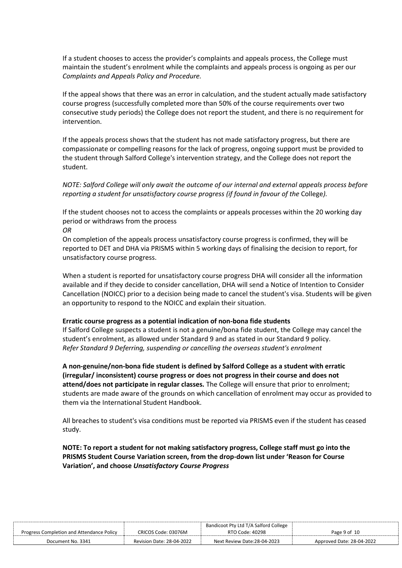If a student chooses to access the provider's complaints and appeals process, the College must maintain the student's enrolment while the complaints and appeals process is ongoing as per our *Complaints and Appeals Policy and Procedure.* 

If the appeal shows that there was an error in calculation, and the student actually made satisfactory course progress (successfully completed more than 50% of the course requirements over two consecutive study periods) the College does not report the student, and there is no requirement for intervention.

If the appeals process shows that the student has not made satisfactory progress, but there are compassionate or compelling reasons for the lack of progress, ongoing support must be provided to the student through Salford College's intervention strategy, and the College does not report the student.

*NOTE: Salford College will only await the outcome of our internal and external appeals process before reporting a student for unsatisfactory course progress (if found in favour of the College).* 

If the student chooses not to access the complaints or appeals processes within the 20 working day period or withdraws from the process

*OR*

On completion of the appeals process unsatisfactory course progress is confirmed, they will be reported to DET and DHA via PRISMS within 5 working days of finalising the decision to report, for unsatisfactory course progress.

When a student is reported for unsatisfactory course progress DHA will consider all the information available and if they decide to consider cancellation, DHA will send a Notice of Intention to Consider Cancellation (NOICC) prior to a decision being made to cancel the student's visa. Students will be given an opportunity to respond to the NOICC and explain their situation.

### **Erratic course progress as a potential indication of non-bona fide students**

If Salford College suspects a student is not a genuine/bona fide student, the College may cancel the student's enrolment, as allowed under Standard 9 and as stated in our Standard 9 policy. *Refer Standard 9 Deferring, suspending or cancelling the overseas student's enrolment*

**A non-genuine/non-bona fide student is defined by Salford College as a student with erratic (irregular/ inconsistent) course progress or does not progress in their course and does not attend/does not participate in regular classes.** The College will ensure that prior to enrolment; students are made aware of the grounds on which cancellation of enrolment may occur as provided to them via the International Student Handbook.

All breaches to student's visa conditions must be reported via PRISMS even if the student has ceased study.

**NOTE: To report a student for not making satisfactory progress, College staff must go into the PRISMS Student Course Variation screen, from the drop-down list under 'Reason for Course Variation', and choose** *Unsatisfactory Course Progress*

|                                           |                           | Bandicoot Pty Ltd T/A Salford College |                           |
|-------------------------------------------|---------------------------|---------------------------------------|---------------------------|
| Progress Completion and Attendance Policy | CRICOS Code: 03076M       | RTO Code: 40298                       | Page 9 of 10              |
| Document No. 3341                         | Revision Date: 28-04-2022 | Next Review Date:28-04-2023           | Approved Date: 28-04-2022 |